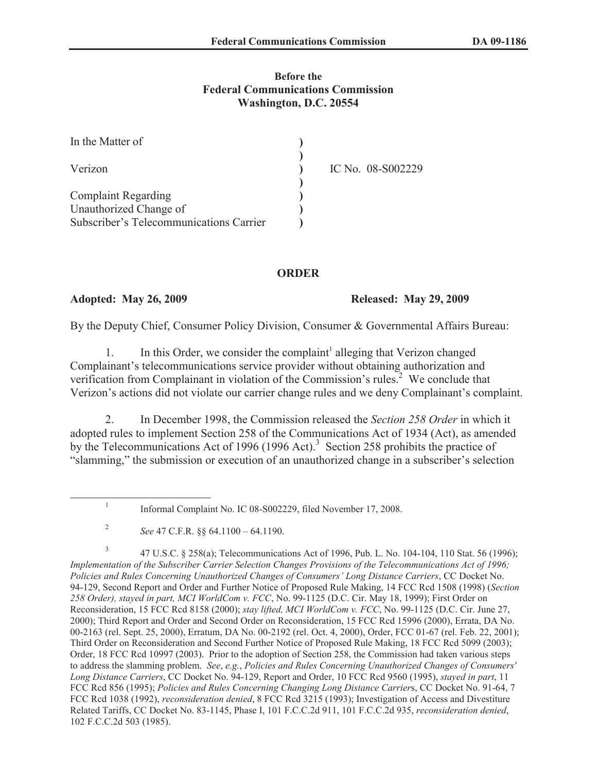#### **Before the Federal Communications Commission Washington, D.C. 20554**

| In the Matter of                        |                   |
|-----------------------------------------|-------------------|
| Verizon                                 | IC No. 08-S002229 |
|                                         |                   |
| <b>Complaint Regarding</b>              |                   |
| Unauthorized Change of                  |                   |
| Subscriber's Telecommunications Carrier |                   |

## **ORDER**

### **Adopted: May 26, 2009 Released: May 29, 2009**

1

By the Deputy Chief, Consumer Policy Division, Consumer & Governmental Affairs Bureau:

1. In this Order, we consider the complaint<sup>1</sup> alleging that Verizon changed Complainant's telecommunications service provider without obtaining authorization and verification from Complainant in violation of the Commission's rules.<sup>2</sup> We conclude that Verizon's actions did not violate our carrier change rules and we deny Complainant's complaint.

2. In December 1998, the Commission released the *Section 258 Order* in which it adopted rules to implement Section 258 of the Communications Act of 1934 (Act), as amended by the Telecommunications Act of 1996 (1996 Act).<sup>3</sup> Section 258 prohibits the practice of "slamming," the submission or execution of an unauthorized change in a subscriber's selection

Informal Complaint No. IC 08-S002229, filed November 17, 2008.

3 47 U.S.C. § 258(a); Telecommunications Act of 1996, Pub. L. No. 104-104, 110 Stat. 56 (1996); *Implementation of the Subscriber Carrier Selection Changes Provisions of the Telecommunications Act of 1996; Policies and Rules Concerning Unauthorized Changes of Consumers' Long Distance Carriers*, CC Docket No. 94-129, Second Report and Order and Further Notice of Proposed Rule Making, 14 FCC Rcd 1508 (1998) (*Section 258 Order), stayed in part, MCI WorldCom v. FCC*, No. 99-1125 (D.C. Cir. May 18, 1999); First Order on Reconsideration, 15 FCC Rcd 8158 (2000); *stay lifted, MCI WorldCom v. FCC*, No. 99-1125 (D.C. Cir. June 27, 2000); Third Report and Order and Second Order on Reconsideration, 15 FCC Rcd 15996 (2000), Errata, DA No. 00-2163 (rel. Sept. 25, 2000), Erratum, DA No. 00-2192 (rel. Oct. 4, 2000), Order, FCC 01-67 (rel. Feb. 22, 2001); Third Order on Reconsideration and Second Further Notice of Proposed Rule Making, 18 FCC Rcd 5099 (2003); Order, 18 FCC Rcd 10997 (2003). Prior to the adoption of Section 258, the Commission had taken various steps to address the slamming problem. *See*, *e.g.*, *Policies and Rules Concerning Unauthorized Changes of Consumers' Long Distance Carriers*, CC Docket No. 94-129, Report and Order, 10 FCC Rcd 9560 (1995), *stayed in part*, 11 FCC Rcd 856 (1995); *Policies and Rules Concerning Changing Long Distance Carrier*s, CC Docket No. 91-64, 7 FCC Rcd 1038 (1992), *reconsideration denied*, 8 FCC Rcd 3215 (1993); Investigation of Access and Divestiture Related Tariffs, CC Docket No. 83-1145, Phase I, 101 F.C.C.2d 911, 101 F.C.C.2d 935, *reconsideration denied*, 102 F.C.C.2d 503 (1985).

<sup>2</sup> *See* 47 C.F.R. §§ 64.1100 – 64.1190.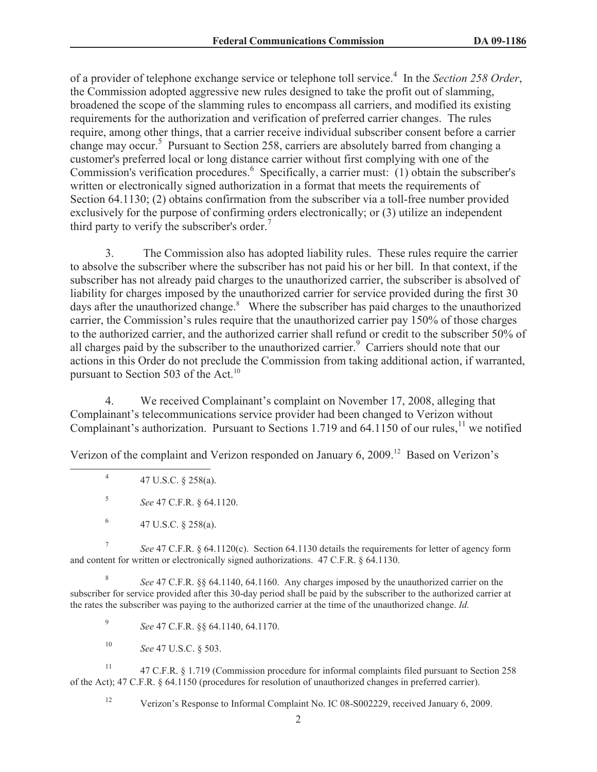of a provider of telephone exchange service or telephone toll service.<sup>4</sup> In the *Section 258 Order*, the Commission adopted aggressive new rules designed to take the profit out of slamming, broadened the scope of the slamming rules to encompass all carriers, and modified its existing requirements for the authorization and verification of preferred carrier changes. The rules require, among other things, that a carrier receive individual subscriber consent before a carrier change may occur.<sup>5</sup> Pursuant to Section 258, carriers are absolutely barred from changing a customer's preferred local or long distance carrier without first complying with one of the Commission's verification procedures.<sup>6</sup> Specifically, a carrier must: (1) obtain the subscriber's written or electronically signed authorization in a format that meets the requirements of Section 64.1130; (2) obtains confirmation from the subscriber via a toll-free number provided exclusively for the purpose of confirming orders electronically; or (3) utilize an independent third party to verify the subscriber's order.<sup>7</sup>

3. The Commission also has adopted liability rules. These rules require the carrier to absolve the subscriber where the subscriber has not paid his or her bill. In that context, if the subscriber has not already paid charges to the unauthorized carrier, the subscriber is absolved of liability for charges imposed by the unauthorized carrier for service provided during the first 30 days after the unauthorized change.<sup>8</sup> Where the subscriber has paid charges to the unauthorized carrier, the Commission's rules require that the unauthorized carrier pay 150% of those charges to the authorized carrier, and the authorized carrier shall refund or credit to the subscriber 50% of all charges paid by the subscriber to the unauthorized carrier.<sup>9</sup> Carriers should note that our actions in this Order do not preclude the Commission from taking additional action, if warranted, pursuant to Section 503 of the Act.<sup>10</sup>

4. We received Complainant's complaint on November 17, 2008, alleging that Complainant's telecommunications service provider had been changed to Verizon without Complainant's authorization. Pursuant to Sections 1.719 and  $64.1150$  of our rules,<sup>11</sup> we notified

Verizon of the complaint and Verizon responded on January 6, 2009.<sup>12</sup> Based on Verizon's

4 47 U.S.C. § 258(a).

5 *See* 47 C.F.R. § 64.1120.

6 47 U.S.C. § 258(a).

7 *See* 47 C.F.R. § 64.1120(c). Section 64.1130 details the requirements for letter of agency form and content for written or electronically signed authorizations. 47 C.F.R. § 64.1130.

8 *See* 47 C.F.R. §§ 64.1140, 64.1160. Any charges imposed by the unauthorized carrier on the subscriber for service provided after this 30-day period shall be paid by the subscriber to the authorized carrier at the rates the subscriber was paying to the authorized carrier at the time of the unauthorized change. *Id.*

9 *See* 47 C.F.R. §§ 64.1140, 64.1170.

<sup>10</sup> *See* 47 U.S.C. § 503.

<sup>11</sup> 47 C.F.R. § 1.719 (Commission procedure for informal complaints filed pursuant to Section 258 of the Act); 47 C.F.R. § 64.1150 (procedures for resolution of unauthorized changes in preferred carrier).

<sup>12</sup> Verizon's Response to Informal Complaint No. IC 08-S002229, received January 6, 2009.